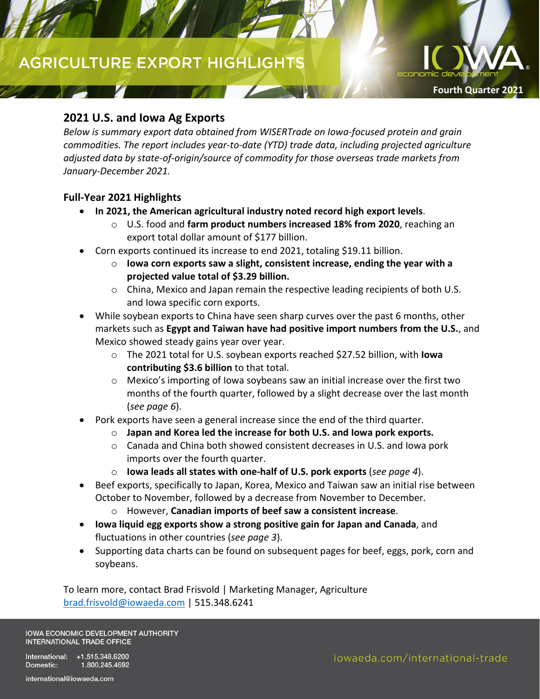# **AGRICULTURE EXPORT HIGHLIGHTS**

### **2021 U.S. and Iowa Ag Exports**

*Below is summary export data obtained from WISERTrade on Iowa-focused protein and grain commodities. The report includes year-to-date (YTD) trade data, including projected agriculture adjusted data by state-of-origin/source of commodity for those overseas trade markets from January-December 2021.*

### **Full-Year 2021 Highlights**

- **In 2021, the American agricultural industry noted record high export levels**.
	- o U.S. food and **farm product numbers increased 18% from 2020**, reaching an export total dollar amount of \$177 billion.
- Corn exports continued its increase to end 2021, totaling \$19.11 billion.
	- o **Iowa corn exports saw a slight, consistent increase, ending the year with a projected value total of \$3.29 billion.**
	- $\circ$  China, Mexico and Japan remain the respective leading recipients of both U.S. and Iowa specific corn exports.
- While soybean exports to China have seen sharp curves over the past 6 months, other markets such as **Egypt and Taiwan have had positive import numbers from the U.S.**, and Mexico showed steady gains year over year.
	- o The 2021 total for U.S. soybean exports reached \$27.52 billion, with **Iowa contributing \$3.6 billion** to that total.
	- o Mexico's importing of Iowa soybeans saw an initial increase over the first two months of the fourth quarter, followed by a slight decrease over the last month (*see page 6*).
- Pork exports have seen a general increase since the end of the third quarter.
	- o **Japan and Korea led the increase for both U.S. and Iowa pork exports.**
	- o Canada and China both showed consistent decreases in U.S. and Iowa pork imports over the fourth quarter.
	- o **Iowa leads all states with one-half of U.S. pork exports** (*see page 4*).
- Beef exports, specifically to Japan, Korea, Mexico and Taiwan saw an initial rise between October to November, followed by a decrease from November to December.
	- o However, **Canadian imports of beef saw a consistent increase**.
- **Iowa liquid egg exports show a strong positive gain for Japan and Canada**, and fluctuations in other countries (*see page 3*).
- Supporting data charts can be found on subsequent pages for beef, eggs, pork, corn and soybeans.

To learn more, contact Brad Frisvold | Marketing Manager, Agriculture [brad.frisvold@iowaeda.com](mailto:brad.frisvold@iowaeda.com) | 515.348.6241

**IOWA ECONOMIC DEVELOPMENT AUTHORITY** INTERNATIONAL TRADE OFFICE

International: +1.515.348.6200 1.800.245.4692 Domestic:

**Fourth Quarter 2021**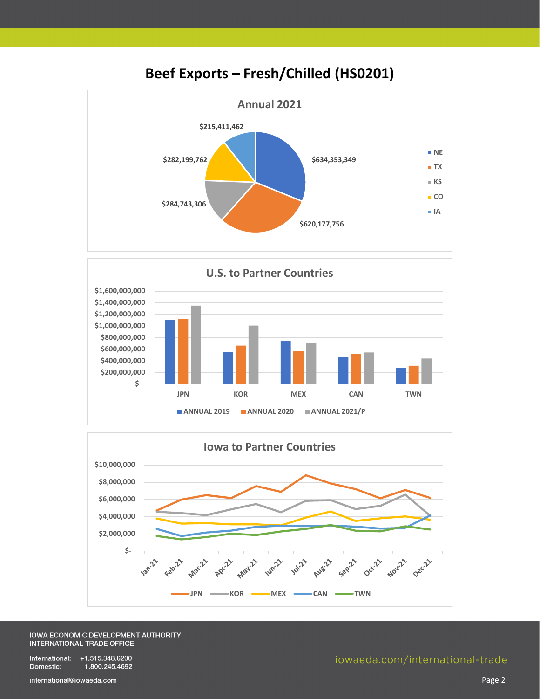

## **Beef Exports – Fresh/Chilled (HS0201)**





#### IOWA ECONOMIC DEVELOPMENT AUTHORITY **INTERNATIONAL TRADE OFFICE**

International: +1.515.348.6200 Domestic: 1.800.245.4692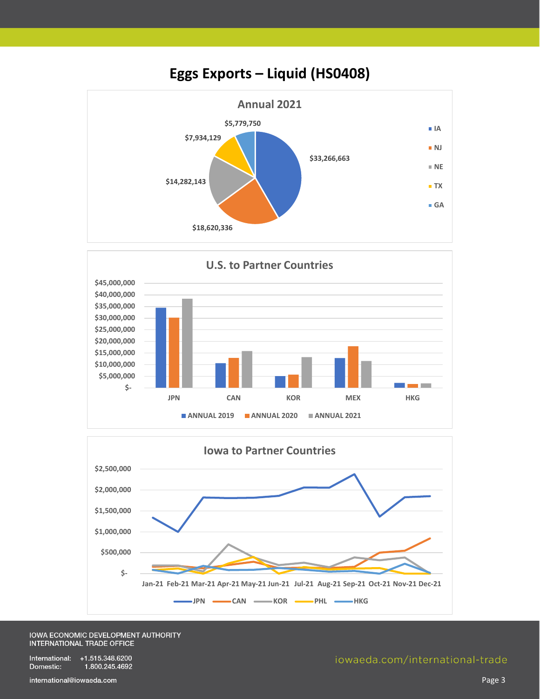





#### IOWA ECONOMIC DEVELOPMENT AUTHORITY INTERNATIONAL TRADE OFFICE

International: +1.515.348.6200 Domestic: 1.800.245.4692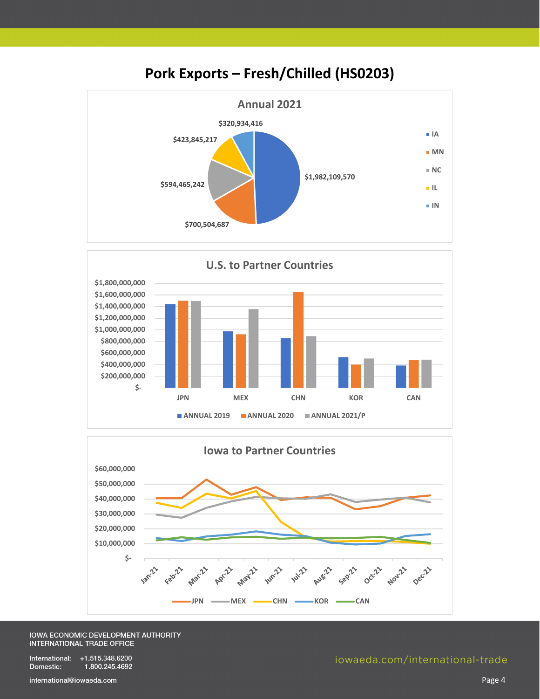

### **Pork Exports – Fresh/Chilled (HS0203)**





#### IOWA ECONOMIC DEVELOPMENT AUTHORITY **INTERNATIONAL TRADE OFFICE**

International: +1.515.348.6200 Domestic: 1.800.245.4692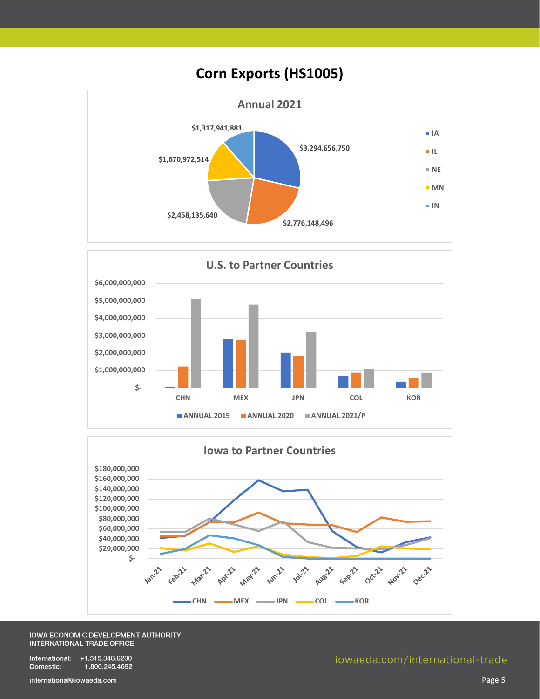





#### IOWA ECONOMIC DEVELOPMENT AUTHORITY INTERNATIONAL TRADE OFFICE

International: +1.515.348.6200 Domestic: 1.800.245.4692